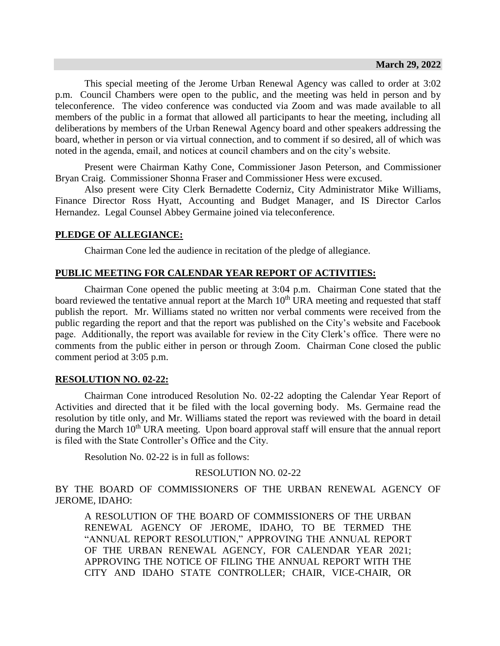This special meeting of the Jerome Urban Renewal Agency was called to order at 3:02 p.m. Council Chambers were open to the public, and the meeting was held in person and by teleconference. The video conference was conducted via Zoom and was made available to all members of the public in a format that allowed all participants to hear the meeting, including all deliberations by members of the Urban Renewal Agency board and other speakers addressing the board, whether in person or via virtual connection, and to comment if so desired, all of which was noted in the agenda, email, and notices at council chambers and on the city's website.

Present were Chairman Kathy Cone, Commissioner Jason Peterson, and Commissioner Bryan Craig. Commissioner Shonna Fraser and Commissioner Hess were excused.

Also present were City Clerk Bernadette Coderniz, City Administrator Mike Williams, Finance Director Ross Hyatt, Accounting and Budget Manager, and IS Director Carlos Hernandez. Legal Counsel Abbey Germaine joined via teleconference.

## **PLEDGE OF ALLEGIANCE:**

Chairman Cone led the audience in recitation of the pledge of allegiance.

## **PUBLIC MEETING FOR CALENDAR YEAR REPORT OF ACTIVITIES:**

Chairman Cone opened the public meeting at 3:04 p.m. Chairman Cone stated that the board reviewed the tentative annual report at the March  $10<sup>th</sup>$  URA meeting and requested that staff publish the report. Mr. Williams stated no written nor verbal comments were received from the public regarding the report and that the report was published on the City's website and Facebook page. Additionally, the report was available for review in the City Clerk's office. There were no comments from the public either in person or through Zoom. Chairman Cone closed the public comment period at 3:05 p.m.

### **RESOLUTION NO. 02-22:**

Chairman Cone introduced Resolution No. 02-22 adopting the Calendar Year Report of Activities and directed that it be filed with the local governing body. Ms. Germaine read the resolution by title only, and Mr. Williams stated the report was reviewed with the board in detail during the March 10<sup>th</sup> URA meeting. Upon board approval staff will ensure that the annual report is filed with the State Controller's Office and the City.

Resolution No. 02-22 is in full as follows:

RESOLUTION NO. 02-22

BY THE BOARD OF COMMISSIONERS OF THE URBAN RENEWAL AGENCY OF JEROME, IDAHO:

A RESOLUTION OF THE BOARD OF COMMISSIONERS OF THE URBAN RENEWAL AGENCY OF JEROME, IDAHO, TO BE TERMED THE "ANNUAL REPORT RESOLUTION," APPROVING THE ANNUAL REPORT OF THE URBAN RENEWAL AGENCY, FOR CALENDAR YEAR 2021; APPROVING THE NOTICE OF FILING THE ANNUAL REPORT WITH THE CITY AND IDAHO STATE CONTROLLER; CHAIR, VICE-CHAIR, OR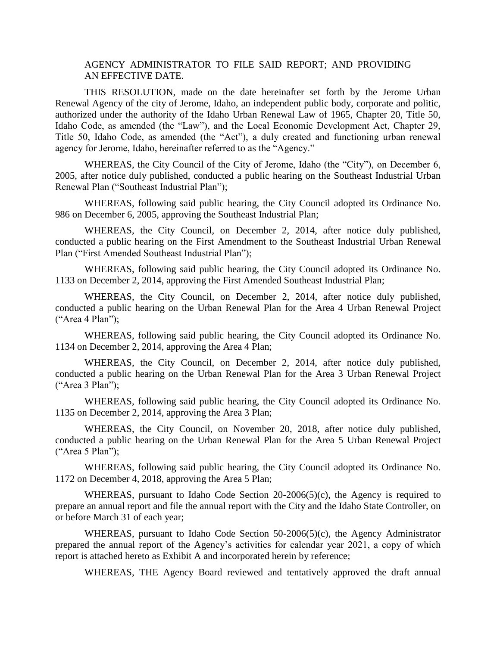## AGENCY ADMINISTRATOR TO FILE SAID REPORT; AND PROVIDING AN EFFECTIVE DATE.

THIS RESOLUTION, made on the date hereinafter set forth by the Jerome Urban Renewal Agency of the city of Jerome, Idaho, an independent public body, corporate and politic, authorized under the authority of the Idaho Urban Renewal Law of 1965, Chapter 20, Title 50, Idaho Code, as amended (the "Law"), and the Local Economic Development Act, Chapter 29, Title 50, Idaho Code, as amended (the "Act"), a duly created and functioning urban renewal agency for Jerome, Idaho, hereinafter referred to as the "Agency."

WHEREAS, the City Council of the City of Jerome, Idaho (the "City"), on December 6, 2005, after notice duly published, conducted a public hearing on the Southeast Industrial Urban Renewal Plan ("Southeast Industrial Plan");

WHEREAS, following said public hearing, the City Council adopted its Ordinance No. 986 on December 6, 2005, approving the Southeast Industrial Plan;

WHEREAS, the City Council, on December 2, 2014, after notice duly published, conducted a public hearing on the First Amendment to the Southeast Industrial Urban Renewal Plan ("First Amended Southeast Industrial Plan");

WHEREAS, following said public hearing, the City Council adopted its Ordinance No. 1133 on December 2, 2014, approving the First Amended Southeast Industrial Plan;

WHEREAS, the City Council, on December 2, 2014, after notice duly published, conducted a public hearing on the Urban Renewal Plan for the Area 4 Urban Renewal Project  $("Area 4 Plan")$ ;

WHEREAS, following said public hearing, the City Council adopted its Ordinance No. 1134 on December 2, 2014, approving the Area 4 Plan;

WHEREAS, the City Council, on December 2, 2014, after notice duly published, conducted a public hearing on the Urban Renewal Plan for the Area 3 Urban Renewal Project ("Area 3 Plan");

WHEREAS, following said public hearing, the City Council adopted its Ordinance No. 1135 on December 2, 2014, approving the Area 3 Plan;

WHEREAS, the City Council, on November 20, 2018, after notice duly published, conducted a public hearing on the Urban Renewal Plan for the Area 5 Urban Renewal Project ("Area 5 Plan");

WHEREAS, following said public hearing, the City Council adopted its Ordinance No. 1172 on December 4, 2018, approving the Area 5 Plan;

WHEREAS, pursuant to Idaho Code Section 20-2006(5)(c), the Agency is required to prepare an annual report and file the annual report with the City and the Idaho State Controller, on or before March 31 of each year;

WHEREAS, pursuant to Idaho Code Section 50-2006(5)(c), the Agency Administrator prepared the annual report of the Agency's activities for calendar year 2021, a copy of which report is attached hereto as Exhibit A and incorporated herein by reference;

WHEREAS, THE Agency Board reviewed and tentatively approved the draft annual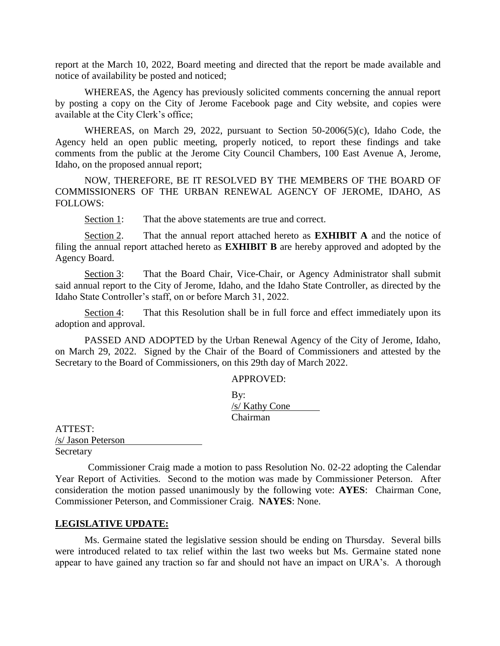report at the March 10, 2022, Board meeting and directed that the report be made available and notice of availability be posted and noticed;

WHEREAS, the Agency has previously solicited comments concerning the annual report by posting a copy on the City of Jerome Facebook page and City website, and copies were available at the City Clerk's office;

WHEREAS, on March 29, 2022, pursuant to Section 50-2006(5)(c), Idaho Code, the Agency held an open public meeting, properly noticed, to report these findings and take comments from the public at the Jerome City Council Chambers, 100 East Avenue A, Jerome, Idaho, on the proposed annual report;

NOW, THEREFORE, BE IT RESOLVED BY THE MEMBERS OF THE BOARD OF COMMISSIONERS OF THE URBAN RENEWAL AGENCY OF JEROME, IDAHO, AS FOLLOWS:

Section 1: That the above statements are true and correct.

Section 2. That the annual report attached hereto as **EXHIBIT A** and the notice of filing the annual report attached hereto as **EXHIBIT B** are hereby approved and adopted by the Agency Board.

Section 3: That the Board Chair, Vice-Chair, or Agency Administrator shall submit said annual report to the City of Jerome, Idaho, and the Idaho State Controller, as directed by the Idaho State Controller's staff, on or before March 31, 2022.

Section 4: That this Resolution shall be in full force and effect immediately upon its adoption and approval.

PASSED AND ADOPTED by the Urban Renewal Agency of the City of Jerome, Idaho, on March 29, 2022. Signed by the Chair of the Board of Commissioners and attested by the Secretary to the Board of Commissioners, on this 29th day of March 2022.

APPROVED:

| By:            |  |
|----------------|--|
| /s/ Kathy Cone |  |
| Chairman       |  |

ATTEST: /s/ Jason Peterson Secretary

Commissioner Craig made a motion to pass Resolution No. 02-22 adopting the Calendar Year Report of Activities. Second to the motion was made by Commissioner Peterson. After consideration the motion passed unanimously by the following vote: **AYES**: Chairman Cone, Commissioner Peterson, and Commissioner Craig. **NAYES**: None.

### **LEGISLATIVE UPDATE:**

Ms. Germaine stated the legislative session should be ending on Thursday. Several bills were introduced related to tax relief within the last two weeks but Ms. Germaine stated none appear to have gained any traction so far and should not have an impact on URA's. A thorough